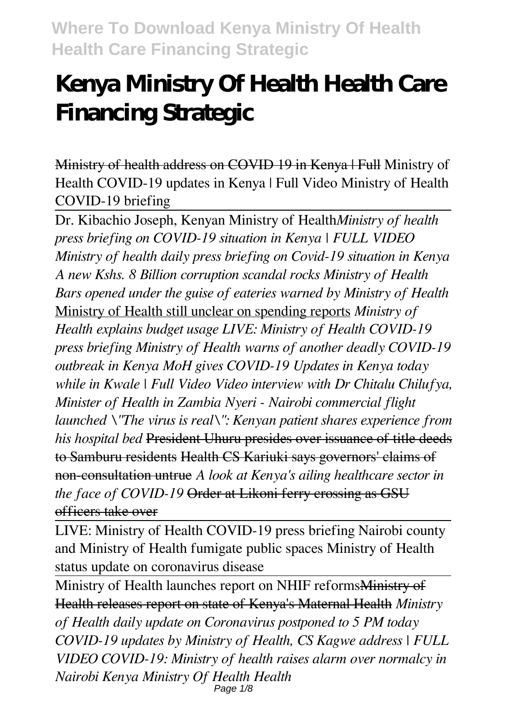# **Kenya Ministry Of Health Health Care Financing Strategic**

Ministry of health address on COVID 19 in Kenya | Full Ministry of Health COVID-19 updates in Kenya | Full Video Ministry of Health COVID-19 briefing

Dr. Kibachio Joseph, Kenyan Ministry of Health*Ministry of health press briefing on COVID-19 situation in Kenya | FULL VIDEO Ministry of health daily press briefing on Covid-19 situation in Kenya A new Kshs. 8 Billion corruption scandal rocks Ministry of Health Bars opened under the guise of eateries warned by Ministry of Health* Ministry of Health still unclear on spending reports *Ministry of Health explains budget usage LIVE: Ministry of Health COVID-19 press briefing Ministry of Health warns of another deadly COVID-19 outbreak in Kenya MoH gives COVID-19 Updates in Kenya today while in Kwale | Full Video Video interview with Dr Chitalu Chilufya, Minister of Health in Zambia Nyeri - Nairobi commercial flight launched \"The virus is real\": Kenyan patient shares experience from his hospital bed* President Uhuru presides over issuance of title deeds to Samburu residents Health CS Kariuki says governors' claims of non-consultation untrue *A look at Kenya's ailing healthcare sector in the face of COVID-19* Order at Likoni ferry crossing as GSU officers take over

LIVE: Ministry of Health COVID-19 press briefing Nairobi county and Ministry of Health fumigate public spaces Ministry of Health status update on coronavirus disease

Ministry of Health launches report on NHIF reformsMinistry of Health releases report on state of Kenya's Maternal Health *Ministry of Health daily update on Coronavirus postponed to 5 PM today COVID-19 updates by Ministry of Health, CS Kagwe address | FULL VIDEO COVID-19: Ministry of health raises alarm over normalcy in Nairobi Kenya Ministry Of Health Health* Page 1/8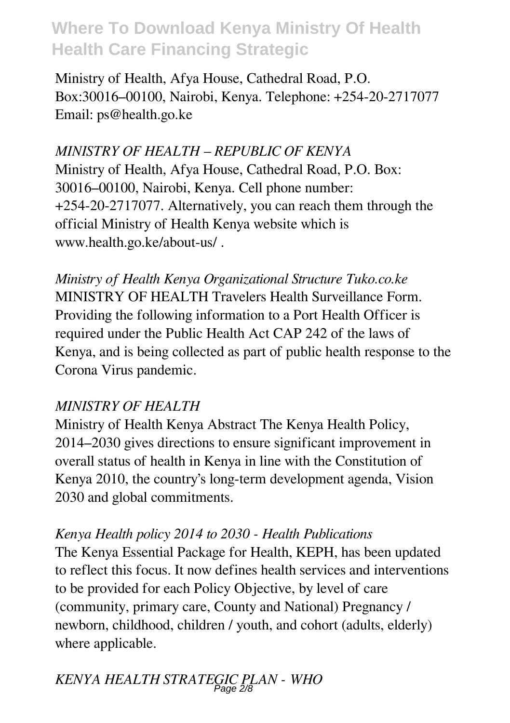Ministry of Health, Afya House, Cathedral Road, P.O. Box:30016–00100, Nairobi, Kenya. Telephone: +254-20-2717077 Email: ps@health.go.ke

*MINISTRY OF HEALTH – REPUBLIC OF KENYA* Ministry of Health, Afya House, Cathedral Road, P.O. Box: 30016–00100, Nairobi, Kenya. Cell phone number: +254-20-2717077. Alternatively, you can reach them through the official Ministry of Health Kenya website which is www.health.go.ke/about-us/ .

*Ministry of Health Kenya Organizational Structure Tuko.co.ke* MINISTRY OF HEALTH Travelers Health Surveillance Form. Providing the following information to a Port Health Officer is required under the Public Health Act CAP 242 of the laws of Kenya, and is being collected as part of public health response to the Corona Virus pandemic.

### *MINISTRY OF HEALTH*

Ministry of Health Kenya Abstract The Kenya Health Policy, 2014–2030 gives directions to ensure significant improvement in overall status of health in Kenya in line with the Constitution of Kenya 2010, the country's long-term development agenda, Vision 2030 and global commitments.

### *Kenya Health policy 2014 to 2030 - Health Publications*

The Kenya Essential Package for Health, KEPH, has been updated to reflect this focus. It now defines health services and interventions to be provided for each Policy Objective, by level of care (community, primary care, County and National) Pregnancy / newborn, childhood, children / youth, and cohort (adults, elderly) where applicable.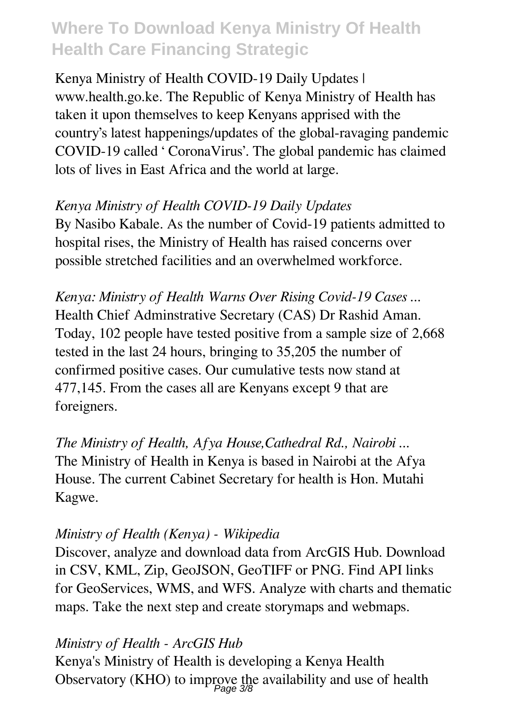Kenya Ministry of Health COVID-19 Daily Updates | www.health.go.ke. The Republic of Kenya Ministry of Health has taken it upon themselves to keep Kenyans apprised with the country's latest happenings/updates of the global-ravaging pandemic COVID-19 called ' CoronaVirus'. The global pandemic has claimed lots of lives in East Africa and the world at large.

### *Kenya Ministry of Health COVID-19 Daily Updates*

By Nasibo Kabale. As the number of Covid-19 patients admitted to hospital rises, the Ministry of Health has raised concerns over possible stretched facilities and an overwhelmed workforce.

*Kenya: Ministry of Health Warns Over Rising Covid-19 Cases ...* Health Chief Adminstrative Secretary (CAS) Dr Rashid Aman. Today, 102 people have tested positive from a sample size of 2,668 tested in the last 24 hours, bringing to 35,205 the number of confirmed positive cases. Our cumulative tests now stand at 477,145. From the cases all are Kenyans except 9 that are foreigners.

*The Ministry of Health, Afya House,Cathedral Rd., Nairobi ...* The Ministry of Health in Kenya is based in Nairobi at the Afya House. The current Cabinet Secretary for health is Hon. Mutahi Kagwe.

### *Ministry of Health (Kenya) - Wikipedia*

Discover, analyze and download data from ArcGIS Hub. Download in CSV, KML, Zip, GeoJSON, GeoTIFF or PNG. Find API links for GeoServices, WMS, and WFS. Analyze with charts and thematic maps. Take the next step and create storymaps and webmaps.

#### *Ministry of Health - ArcGIS Hub*

Kenya's Ministry of Health is developing a Kenya Health Observatory (KHO) to improve the availability and use of health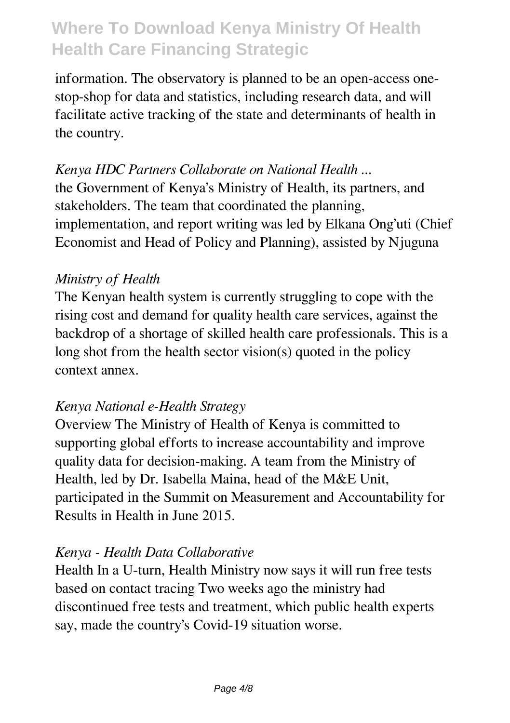information. The observatory is planned to be an open-access onestop-shop for data and statistics, including research data, and will facilitate active tracking of the state and determinants of health in the country.

### *Kenya HDC Partners Collaborate on National Health ...*

the Government of Kenya's Ministry of Health, its partners, and stakeholders. The team that coordinated the planning, implementation, and report writing was led by Elkana Ong'uti (Chief Economist and Head of Policy and Planning), assisted by Njuguna

#### *Ministry of Health*

The Kenyan health system is currently struggling to cope with the rising cost and demand for quality health care services, against the backdrop of a shortage of skilled health care professionals. This is a long shot from the health sector vision(s) quoted in the policy context annex.

#### *Kenya National e-Health Strategy*

Overview The Ministry of Health of Kenya is committed to supporting global efforts to increase accountability and improve quality data for decision-making. A team from the Ministry of Health, led by Dr. Isabella Maina, head of the M&E Unit, participated in the Summit on Measurement and Accountability for Results in Health in June 2015.

### *Kenya - Health Data Collaborative*

Health In a U-turn, Health Ministry now says it will run free tests based on contact tracing Two weeks ago the ministry had discontinued free tests and treatment, which public health experts say, made the country's Covid-19 situation worse.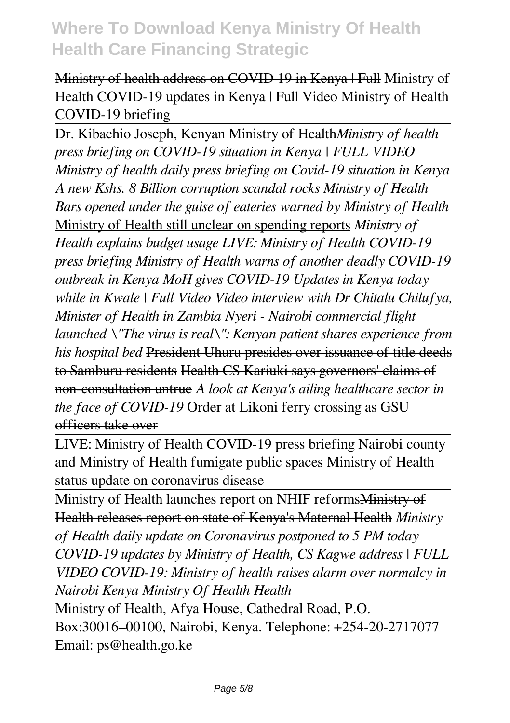Ministry of health address on COVID 19 in Kenya | Full Ministry of Health COVID-19 updates in Kenya | Full Video Ministry of Health COVID-19 briefing

Dr. Kibachio Joseph, Kenyan Ministry of Health*Ministry of health press briefing on COVID-19 situation in Kenya | FULL VIDEO Ministry of health daily press briefing on Covid-19 situation in Kenya A new Kshs. 8 Billion corruption scandal rocks Ministry of Health Bars opened under the guise of eateries warned by Ministry of Health* Ministry of Health still unclear on spending reports *Ministry of Health explains budget usage LIVE: Ministry of Health COVID-19 press briefing Ministry of Health warns of another deadly COVID-19 outbreak in Kenya MoH gives COVID-19 Updates in Kenya today while in Kwale | Full Video Video interview with Dr Chitalu Chilufya, Minister of Health in Zambia Nyeri - Nairobi commercial flight launched \"The virus is real\": Kenyan patient shares experience from his hospital bed* President Uhuru presides over issuance of title deeds to Samburu residents Health CS Kariuki says governors' claims of non-consultation untrue *A look at Kenya's ailing healthcare sector in the face of COVID-19* Order at Likoni ferry crossing as GSU officers take over

LIVE: Ministry of Health COVID-19 press briefing Nairobi county and Ministry of Health fumigate public spaces Ministry of Health status update on coronavirus disease

Ministry of Health launches report on NHIF reformsMinistry of Health releases report on state of Kenya's Maternal Health *Ministry of Health daily update on Coronavirus postponed to 5 PM today COVID-19 updates by Ministry of Health, CS Kagwe address | FULL VIDEO COVID-19: Ministry of health raises alarm over normalcy in Nairobi Kenya Ministry Of Health Health* Ministry of Health, Afya House, Cathedral Road, P.O. Box:30016–00100, Nairobi, Kenya. Telephone: +254-20-2717077 Email: ps@health.go.ke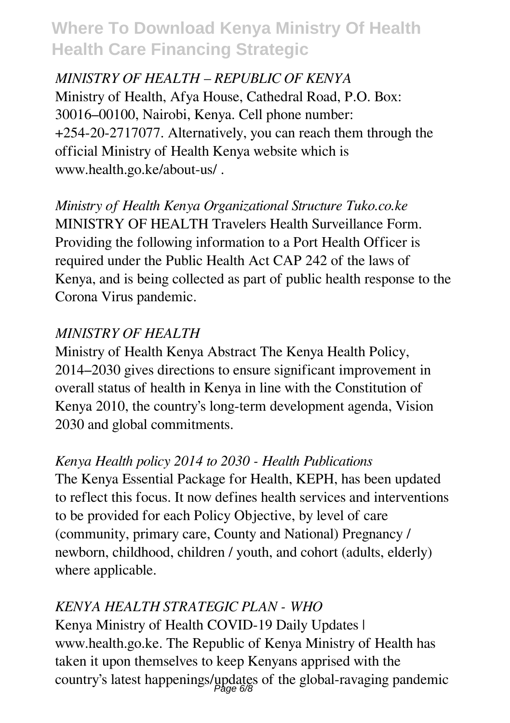*MINISTRY OF HEALTH – REPUBLIC OF KENYA* Ministry of Health, Afya House, Cathedral Road, P.O. Box: 30016–00100, Nairobi, Kenya. Cell phone number: +254-20-2717077. Alternatively, you can reach them through the official Ministry of Health Kenya website which is www.health.go.ke/about-us/ .

*Ministry of Health Kenya Organizational Structure Tuko.co.ke* MINISTRY OF HEALTH Travelers Health Surveillance Form. Providing the following information to a Port Health Officer is required under the Public Health Act CAP 242 of the laws of Kenya, and is being collected as part of public health response to the Corona Virus pandemic.

### *MINISTRY OF HEALTH*

Ministry of Health Kenya Abstract The Kenya Health Policy, 2014–2030 gives directions to ensure significant improvement in overall status of health in Kenya in line with the Constitution of Kenya 2010, the country's long-term development agenda, Vision 2030 and global commitments.

### *Kenya Health policy 2014 to 2030 - Health Publications*

The Kenya Essential Package for Health, KEPH, has been updated to reflect this focus. It now defines health services and interventions to be provided for each Policy Objective, by level of care (community, primary care, County and National) Pregnancy / newborn, childhood, children / youth, and cohort (adults, elderly) where applicable.

### *KENYA HEALTH STRATEGIC PLAN - WHO*

Kenya Ministry of Health COVID-19 Daily Updates | www.health.go.ke. The Republic of Kenya Ministry of Health has taken it upon themselves to keep Kenyans apprised with the country's latest happenings/updates of the global-ravaging pandemic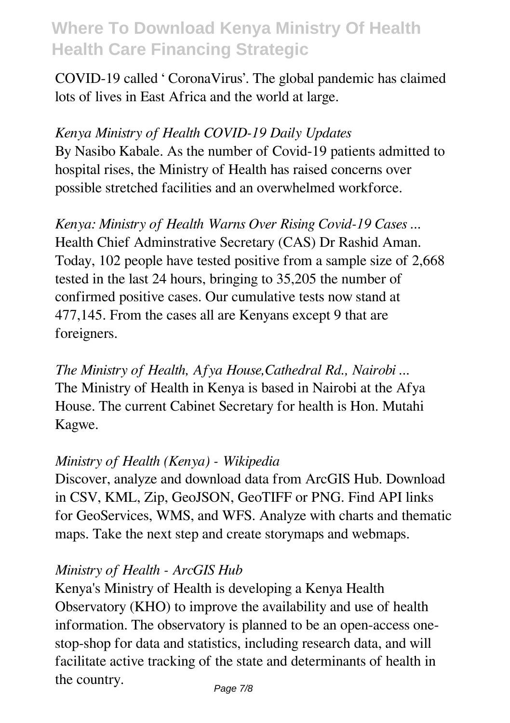COVID-19 called ' CoronaVirus'. The global pandemic has claimed lots of lives in East Africa and the world at large.

### *Kenya Ministry of Health COVID-19 Daily Updates* By Nasibo Kabale. As the number of Covid-19 patients admitted to hospital rises, the Ministry of Health has raised concerns over possible stretched facilities and an overwhelmed workforce.

*Kenya: Ministry of Health Warns Over Rising Covid-19 Cases ...* Health Chief Adminstrative Secretary (CAS) Dr Rashid Aman. Today, 102 people have tested positive from a sample size of 2,668 tested in the last 24 hours, bringing to 35,205 the number of confirmed positive cases. Our cumulative tests now stand at 477,145. From the cases all are Kenyans except 9 that are foreigners.

*The Ministry of Health, Afya House,Cathedral Rd., Nairobi ...* The Ministry of Health in Kenya is based in Nairobi at the Afya House. The current Cabinet Secretary for health is Hon. Mutahi Kagwe.

### *Ministry of Health (Kenya) - Wikipedia*

Discover, analyze and download data from ArcGIS Hub. Download in CSV, KML, Zip, GeoJSON, GeoTIFF or PNG. Find API links for GeoServices, WMS, and WFS. Analyze with charts and thematic maps. Take the next step and create storymaps and webmaps.

### *Ministry of Health - ArcGIS Hub*

Kenya's Ministry of Health is developing a Kenya Health Observatory (KHO) to improve the availability and use of health information. The observatory is planned to be an open-access onestop-shop for data and statistics, including research data, and will facilitate active tracking of the state and determinants of health in the country.